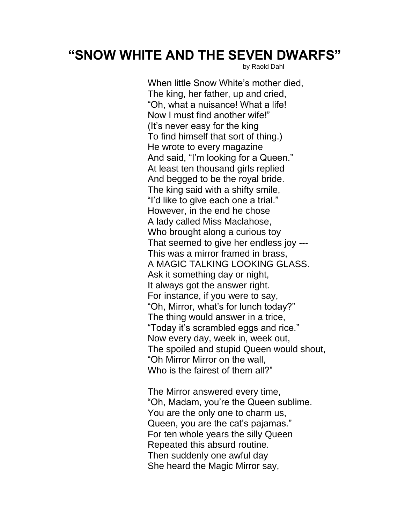## **"SNOW WHITE AND THE SEVEN DWARFS"**

by Raold Dahl

When little Snow White's mother died, The king, her father, up and cried, "Oh, what a nuisance! What a life! Now I must find another wife!" (It's never easy for the king To find himself that sort of thing.) He wrote to every magazine And said, "I'm looking for a Queen." At least ten thousand girls replied And begged to be the royal bride. The king said with a shifty smile, "I'd like to give each one a trial." However, in the end he chose A lady called Miss Maclahose, Who brought along a curious toy That seemed to give her endless joy --- This was a mirror framed in brass, A MAGIC TALKING LOOKING GLASS. Ask it something day or night, It always got the answer right. For instance, if you were to say, "Oh, Mirror, what's for lunch today?" The thing would answer in a trice, "Today it's scrambled eggs and rice." Now every day, week in, week out, The spoiled and stupid Queen would shout, "Oh Mirror Mirror on the wall, Who is the fairest of them all?"

The Mirror answered every time, "Oh, Madam, you're the Queen sublime. You are the only one to charm us, Queen, you are the cat's pajamas." For ten whole years the silly Queen Repeated this absurd routine. Then suddenly one awful day She heard the Magic Mirror say,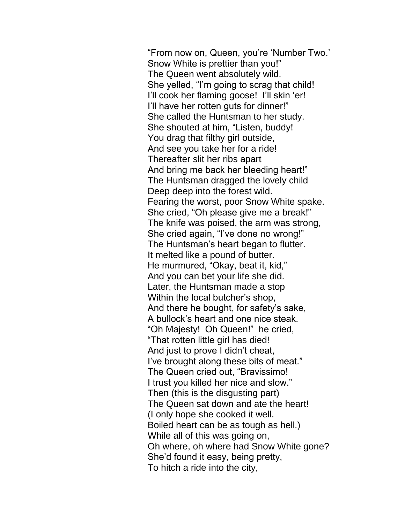"From now on, Queen, you're 'Number Two.' Snow White is prettier than you!" The Queen went absolutely wild. She yelled, "I'm going to scrag that child! I'll cook her flaming goose! I'll skin 'er! I'll have her rotten guts for dinner!" She called the Huntsman to her study. She shouted at him, "Listen, buddy! You drag that filthy girl outside, And see you take her for a ride! Thereafter slit her ribs apart And bring me back her bleeding heart!" The Huntsman dragged the lovely child Deep deep into the forest wild. Fearing the worst, poor Snow White spake. She cried, "Oh please give me a break!" The knife was poised, the arm was strong, She cried again, "I've done no wrong!" The Huntsman's heart began to flutter. It melted like a pound of butter. He murmured, "Okay, beat it, kid," And you can bet your life she did. Later, the Huntsman made a stop Within the local butcher's shop, And there he bought, for safety's sake, A bullock's heart and one nice steak. "Oh Majesty! Oh Queen!" he cried, "That rotten little girl has died! And just to prove I didn't cheat, I've brought along these bits of meat." The Queen cried out, "Bravissimo! I trust you killed her nice and slow." Then (this is the disgusting part) The Queen sat down and ate the heart! (I only hope she cooked it well. Boiled heart can be as tough as hell.) While all of this was going on, Oh where, oh where had Snow White gone? She'd found it easy, being pretty, To hitch a ride into the city,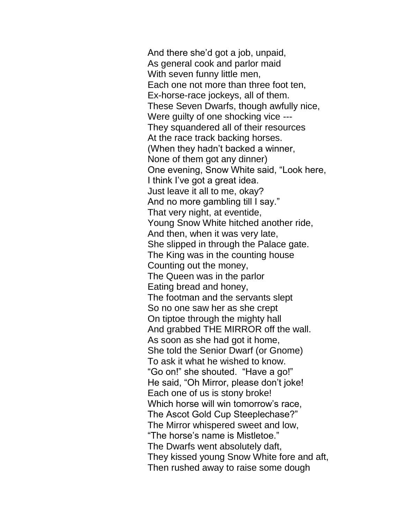And there she'd got a job, unpaid, As general cook and parlor maid With seven funny little men, Each one not more than three foot ten, Ex-horse-race jockeys, all of them. These Seven Dwarfs, though awfully nice, Were guilty of one shocking vice --- They squandered all of their resources At the race track backing horses. (When they hadn't backed a winner, None of them got any dinner) One evening, Snow White said, "Look here, I think I've got a great idea. Just leave it all to me, okay? And no more gambling till I say." That very night, at eventide, Young Snow White hitched another ride, And then, when it was very late, She slipped in through the Palace gate. The King was in the counting house Counting out the money, The Queen was in the parlor Eating bread and honey, The footman and the servants slept So no one saw her as she crept On tiptoe through the mighty hall And grabbed THE MIRROR off the wall. As soon as she had got it home, She told the Senior Dwarf (or Gnome) To ask it what he wished to know. "Go on!" she shouted. "Have a go!" He said, "Oh Mirror, please don't joke! Each one of us is stony broke! Which horse will win tomorrow's race, The Ascot Gold Cup Steeplechase?" The Mirror whispered sweet and low, "The horse's name is Mistletoe." The Dwarfs went absolutely daft, They kissed young Snow White fore and aft, Then rushed away to raise some dough